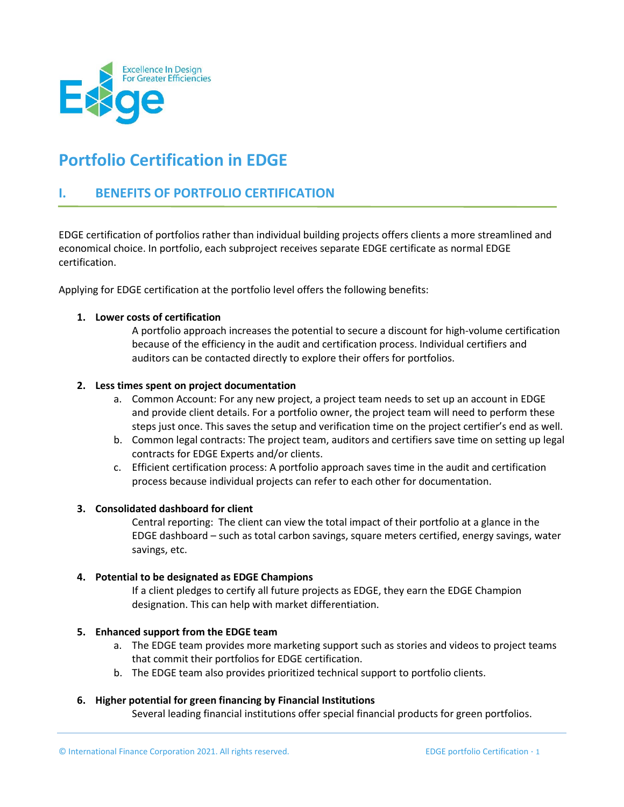

# **Portfolio Certification in EDGE**

# **I. BENEFITS OF PORTFOLIO CERTIFICATION**

EDGE certification of portfolios rather than individual building projects offers clients a more streamlined and economical choice. In portfolio, each subproject receives separate EDGE certificate as normal EDGE certification.

Applying for EDGE certification at the portfolio level offers the following benefits:

# **1. Lower costs of certification**

A portfolio approach increases the potential to secure a discount for high-volume certification because of the efficiency in the audit and certification process. Individual certifiers and auditors can be contacted directly to explore their offers for portfolios.

#### **2. Less times spent on project documentation**

- a. Common Account: For any new project, a project team needs to set up an account in EDGE and provide client details. For a portfolio owner, the project team will need to perform these steps just once. This saves the setup and verification time on the project certifier's end as well.
- b. Common legal contracts: The project team, auditors and certifiers save time on setting up legal contracts for EDGE Experts and/or clients.
- c. Efficient certification process: A portfolio approach saves time in the audit and certification process because individual projects can refer to each other for documentation.

#### **3. Consolidated dashboard for client**

Central reporting: The client can view the total impact of their portfolio at a glance in the EDGE dashboard – such as total carbon savings, square meters certified, energy savings, water savings, etc.

# **4. Potential to be designated as EDGE Champions**

If a client pledges to certify all future projects as EDGE, they earn the EDGE Champion designation. This can help with market differentiation.

#### **5. Enhanced support from the EDGE team**

- a. The EDGE team provides more marketing support such as stories and videos to project teams that commit their portfolios for EDGE certification.
- b. The EDGE team also provides prioritized technical support to portfolio clients.

# **6. Higher potential for green financing by Financial Institutions**

Several leading financial institutions offer special financial products for green portfolios.